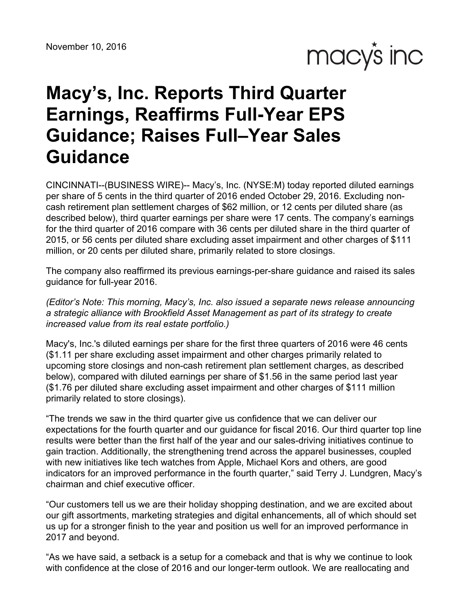macy's inc

# **Macy's, Inc. Reports Third Quarter Earnings, Reaffirms Full-Year EPS Guidance; Raises Full–Year Sales Guidance**

CINCINNATI--(BUSINESS WIRE)-- Macy's, Inc. (NYSE:M) today reported diluted earnings per share of 5 cents in the third quarter of 2016 ended October 29, 2016. Excluding noncash retirement plan settlement charges of \$62 million, or 12 cents per diluted share (as described below), third quarter earnings per share were 17 cents. The company's earnings for the third quarter of 2016 compare with 36 cents per diluted share in the third quarter of 2015, or 56 cents per diluted share excluding asset impairment and other charges of \$111 million, or 20 cents per diluted share, primarily related to store closings.

The company also reaffirmed its previous earnings-per-share guidance and raised its sales guidance for full-year 2016.

*(Editor's Note: This morning, Macy's, Inc. also issued a separate news release announcing a strategic alliance with Brookfield Asset Management as part of its strategy to create increased value from its real estate portfolio.)*

Macy's, Inc.'s diluted earnings per share for the first three quarters of 2016 were 46 cents (\$1.11 per share excluding asset impairment and other charges primarily related to upcoming store closings and non-cash retirement plan settlement charges, as described below), compared with diluted earnings per share of \$1.56 in the same period last year (\$1.76 per diluted share excluding asset impairment and other charges of \$111 million primarily related to store closings).

"The trends we saw in the third quarter give us confidence that we can deliver our expectations for the fourth quarter and our guidance for fiscal 2016. Our third quarter top line results were better than the first half of the year and our sales-driving initiatives continue to gain traction. Additionally, the strengthening trend across the apparel businesses, coupled with new initiatives like tech watches from Apple, Michael Kors and others, are good indicators for an improved performance in the fourth quarter," said Terry J. Lundgren, Macy's chairman and chief executive officer.

"Our customers tell us we are their holiday shopping destination, and we are excited about our gift assortments, marketing strategies and digital enhancements, all of which should set us up for a stronger finish to the year and position us well for an improved performance in 2017 and beyond.

"As we have said, a setback is a setup for a comeback and that is why we continue to look with confidence at the close of 2016 and our longer-term outlook. We are reallocating and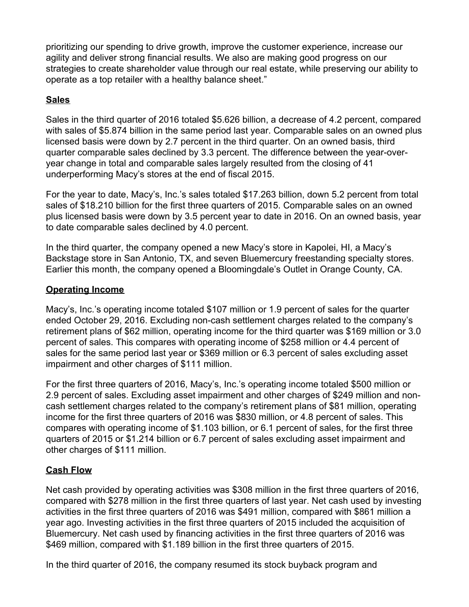prioritizing our spending to drive growth, improve the customer experience, increase our agility and deliver strong financial results. We also are making good progress on our strategies to create shareholder value through our real estate, while preserving our ability to operate as a top retailer with a healthy balance sheet."

# **Sales**

Sales in the third quarter of 2016 totaled \$5.626 billion, a decrease of 4.2 percent, compared with sales of \$5.874 billion in the same period last year. Comparable sales on an owned plus licensed basis were down by 2.7 percent in the third quarter. On an owned basis, third quarter comparable sales declined by 3.3 percent. The difference between the year-overyear change in total and comparable sales largely resulted from the closing of 41 underperforming Macy's stores at the end of fiscal 2015.

For the year to date, Macy's, Inc.'s sales totaled \$17.263 billion, down 5.2 percent from total sales of \$18.210 billion for the first three quarters of 2015. Comparable sales on an owned plus licensed basis were down by 3.5 percent year to date in 2016. On an owned basis, year to date comparable sales declined by 4.0 percent.

In the third quarter, the company opened a new Macy's store in Kapolei, HI, a Macy's Backstage store in San Antonio, TX, and seven Bluemercury freestanding specialty stores. Earlier this month, the company opened a Bloomingdale's Outlet in Orange County, CA.

# **Operating Income**

Macy's, Inc.'s operating income totaled \$107 million or 1.9 percent of sales for the quarter ended October 29, 2016. Excluding non-cash settlement charges related to the company's retirement plans of \$62 million, operating income for the third quarter was \$169 million or 3.0 percent of sales. This compares with operating income of \$258 million or 4.4 percent of sales for the same period last year or \$369 million or 6.3 percent of sales excluding asset impairment and other charges of \$111 million.

For the first three quarters of 2016, Macy's, Inc.'s operating income totaled \$500 million or 2.9 percent of sales. Excluding asset impairment and other charges of \$249 million and noncash settlement charges related to the company's retirement plans of \$81 million, operating income for the first three quarters of 2016 was \$830 million, or 4.8 percent of sales. This compares with operating income of \$1.103 billion, or 6.1 percent of sales, for the first three quarters of 2015 or \$1.214 billion or 6.7 percent of sales excluding asset impairment and other charges of \$111 million.

# **Cash Flow**

Net cash provided by operating activities was \$308 million in the first three quarters of 2016, compared with \$278 million in the first three quarters of last year. Net cash used by investing activities in the first three quarters of 2016 was \$491 million, compared with \$861 million a year ago. Investing activities in the first three quarters of 2015 included the acquisition of Bluemercury. Net cash used by financing activities in the first three quarters of 2016 was \$469 million, compared with \$1.189 billion in the first three quarters of 2015.

In the third quarter of 2016, the company resumed its stock buyback program and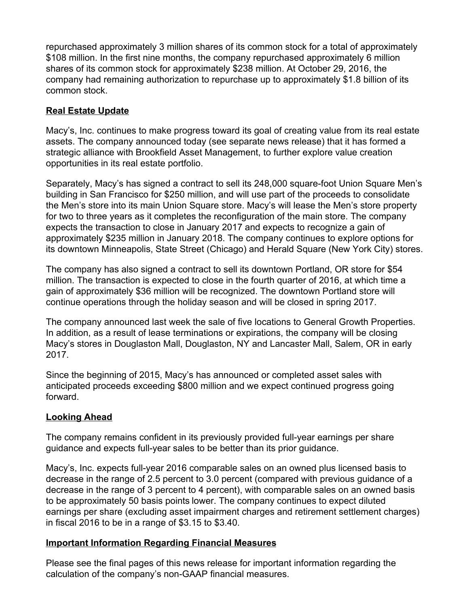repurchased approximately 3 million shares of its common stock for a total of approximately \$108 million. In the first nine months, the company repurchased approximately 6 million shares of its common stock for approximately \$238 million. At October 29, 2016, the company had remaining authorization to repurchase up to approximately \$1.8 billion of its common stock.

# **Real Estate Update**

Macy's, Inc. continues to make progress toward its goal of creating value from its real estate assets. The company announced today (see separate news release) that it has formed a strategic alliance with Brookfield Asset Management, to further explore value creation opportunities in its real estate portfolio.

Separately, Macy's has signed a contract to sell its 248,000 square-foot Union Square Men's building in San Francisco for \$250 million, and will use part of the proceeds to consolidate the Men's store into its main Union Square store. Macy's will lease the Men's store property for two to three years as it completes the reconfiguration of the main store. The company expects the transaction to close in January 2017 and expects to recognize a gain of approximately \$235 million in January 2018. The company continues to explore options for its downtown Minneapolis, State Street (Chicago) and Herald Square (New York City) stores.

The company has also signed a contract to sell its downtown Portland, OR store for \$54 million. The transaction is expected to close in the fourth quarter of 2016, at which time a gain of approximately \$36 million will be recognized. The downtown Portland store will continue operations through the holiday season and will be closed in spring 2017.

The company announced last week the sale of five locations to General Growth Properties. In addition, as a result of lease terminations or expirations, the company will be closing Macy's stores in Douglaston Mall, Douglaston, NY and Lancaster Mall, Salem, OR in early 2017.

Since the beginning of 2015, Macy's has announced or completed asset sales with anticipated proceeds exceeding \$800 million and we expect continued progress going forward.

# **Looking Ahead**

The company remains confident in its previously provided full-year earnings per share guidance and expects full-year sales to be better than its prior guidance.

Macy's, Inc. expects full-year 2016 comparable sales on an owned plus licensed basis to decrease in the range of 2.5 percent to 3.0 percent (compared with previous guidance of a decrease in the range of 3 percent to 4 percent), with comparable sales on an owned basis to be approximately 50 basis points lower. The company continues to expect diluted earnings per share (excluding asset impairment charges and retirement settlement charges) in fiscal 2016 to be in a range of \$3.15 to \$3.40.

# **Important Information Regarding Financial Measures**

Please see the final pages of this news release for important information regarding the calculation of the company's non-GAAP financial measures.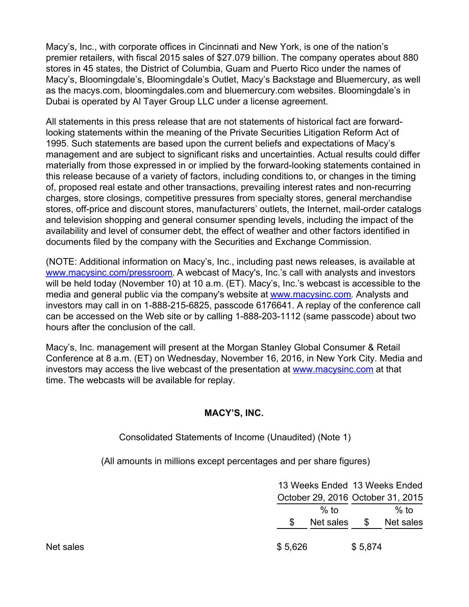Macy's, Inc., with corporate offices in Cincinnati and New York, is one of the nation's premier retailers, with fiscal 2015 sales of \$27.079 billion. The company operates about 880 stores in 45 states, the District of Columbia, Guam and Puerto Rico under the names of Macy's, Bloomingdale's, Bloomingdale's Outlet, Macy's Backstage and Bluemercury, as well as the macys.com, bloomingdales.com and bluemercury.com websites. Bloomingdale's in Dubai is operated by Al Tayer Group LLC under a license agreement.

All statements in this press release that are not statements of historical fact are forwardlooking statements within the meaning of the Private Securities Litigation Reform Act of 1995. Such statements are based upon the current beliefs and expectations of Macy's management and are subject to significant risks and uncertainties. Actual results could differ materially from those expressed in or implied by the forward-looking statements contained in this release because of a variety of factors, including conditions to, or changes in the timing of, proposed real estate and other transactions, prevailing interest rates and non-recurring charges, store closings, competitive pressures from specialty stores, general merchandise stores, off-price and discount stores, manufacturers' outlets, the Internet, mail-order catalogs and television shopping and general consumer spending levels, including the impact of the availability and level of consumer debt, the effect of weather and other factors identified in documents filed by the company with the Securities and Exchange Commission.

(NOTE: Additional information on Macy's, Inc., including past news releases, is available at [www.macysinc.com/pressroom](http://www.macysinc.com/pressroom). A webcast of Macy's, Inc.'s call with analysts and investors will be held today (November 10) at 10 a.m. (ET). Macy's, Inc.'s webcast is accessible to the media and general public via the company's website at [www.macysinc.com](http://www.macysinc.com). Analysts and investors may call in on 1-888-215-6825, passcode 6176641. A replay of the conference call can be accessed on the Web site or by calling 1-888-203-1112 (same passcode) about two hours after the conclusion of the call.

Macy's, Inc. management will present at the Morgan Stanley Global Consumer & Retail Conference at 8 a.m. (ET) on Wednesday, November 16, 2016, in New York City. Media and investors may access the live webcast of the presentation at [www.macysinc.com](http://www.macysinc.com) at that time. The webcasts will be available for replay.

#### **MACY'S, INC.**

Consolidated Statements of Income (Unaudited) (Note 1)

(All amounts in millions except percentages and per share figures)

|           |         |           |         | 13 Weeks Ended 13 Weeks Ended     |
|-----------|---------|-----------|---------|-----------------------------------|
|           |         |           |         | October 29, 2016 October 31, 2015 |
|           |         | $%$ to    |         | $%$ to                            |
|           | \$.     | Net sales |         | Net sales                         |
| Net sales | \$5,626 |           | \$5,874 |                                   |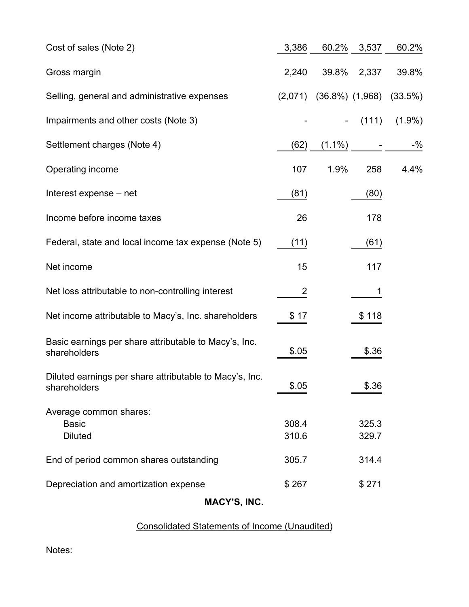| Cost of sales (Note 2)                                                  | 3,386          | 60.2%                | 3,537          | 60.2%     |
|-------------------------------------------------------------------------|----------------|----------------------|----------------|-----------|
| Gross margin                                                            | 2,240          | 39.8%                | 2,337          | 39.8%     |
| Selling, general and administrative expenses                            | (2,071)        | $(36.8\%)$ $(1,968)$ |                | (33.5%)   |
| Impairments and other costs (Note 3)                                    |                |                      | (111)          | $(1.9\%)$ |
| Settlement charges (Note 4)                                             | (62)           | $(1.1\%)$            |                | $-$ %     |
| Operating income                                                        | 107            | 1.9%                 | 258            | 4.4%      |
| Interest expense - net                                                  | (81)           |                      | (80)           |           |
| Income before income taxes                                              | 26             |                      | 178            |           |
| Federal, state and local income tax expense (Note 5)                    | (11)           |                      | (61)           |           |
| Net income                                                              | 15             |                      | 117            |           |
| Net loss attributable to non-controlling interest                       | 2              |                      | 1              |           |
| Net income attributable to Macy's, Inc. shareholders                    | \$17           |                      | \$ 118         |           |
| Basic earnings per share attributable to Macy's, Inc.<br>shareholders   | \$.05          |                      | \$.36          |           |
| Diluted earnings per share attributable to Macy's, Inc.<br>shareholders | \$.05          |                      | \$.36          |           |
| Average common shares:<br><b>Basic</b><br><b>Diluted</b>                | 308.4<br>310.6 |                      | 325.3<br>329.7 |           |
| End of period common shares outstanding                                 | 305.7          |                      | 314.4          |           |
| Depreciation and amortization expense                                   | \$267          |                      | \$271          |           |

# Consolidated Statements of Income (Unaudited)

Notes: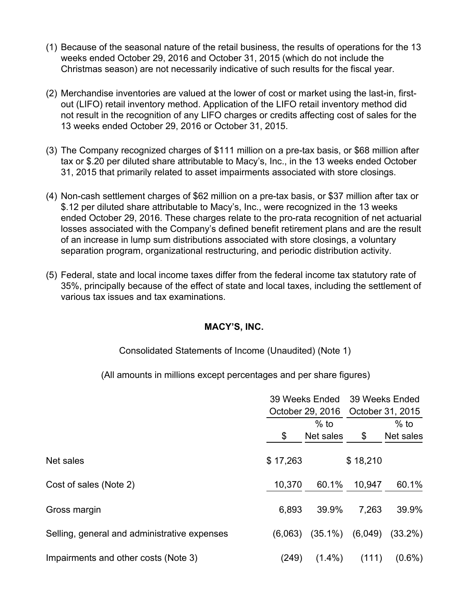- (1) Because of the seasonal nature of the retail business, the results of operations for the 13 weeks ended October 29, 2016 and October 31, 2015 (which do not include the Christmas season) are not necessarily indicative of such results for the fiscal year.
- (2) Merchandise inventories are valued at the lower of cost or market using the last-in, firstout (LIFO) retail inventory method. Application of the LIFO retail inventory method did not result in the recognition of any LIFO charges or credits affecting cost of sales for the 13 weeks ended October 29, 2016 or October 31, 2015.
- (3) The Company recognized charges of \$111 million on a pre-tax basis, or \$68 million after tax or \$.20 per diluted share attributable to Macy's, Inc., in the 13 weeks ended October 31, 2015 that primarily related to asset impairments associated with store closings.
- (4) Non-cash settlement charges of \$62 million on a pre-tax basis, or \$37 million after tax or \$.12 per diluted share attributable to Macy's, Inc., were recognized in the 13 weeks ended October 29, 2016. These charges relate to the pro-rata recognition of net actuarial losses associated with the Company's defined benefit retirement plans and are the result of an increase in lump sum distributions associated with store closings, a voluntary separation program, organizational restructuring, and periodic distribution activity.
- (5) Federal, state and local income taxes differ from the federal income tax statutory rate of 35%, principally because of the effect of state and local taxes, including the settlement of various tax issues and tax examinations.

Consolidated Statements of Income (Unaudited) (Note 1)

(All amounts in millions except percentages and per share figures)

|                                              |          | 39 Weeks Ended<br>October 29, 2016 |                | 39 Weeks Ended<br>October 31, 2015 |
|----------------------------------------------|----------|------------------------------------|----------------|------------------------------------|
|                                              | \$       | $%$ to<br>Net sales                |                | $%$ to<br>Net sales                |
| Net sales                                    | \$17,263 |                                    | \$<br>\$18,210 |                                    |
| Cost of sales (Note 2)                       | 10,370   | 60.1%                              | 10,947         | 60.1%                              |
| Gross margin                                 | 6,893    | 39.9%                              | 7,263          | 39.9%                              |
| Selling, general and administrative expenses | (6,063)  | $(35.1\%)$                         | (6,049)        | $(33.2\%)$                         |
| Impairments and other costs (Note 3)         | (249)    | $(1.4\%)$                          | (111)          | $(0.6\%)$                          |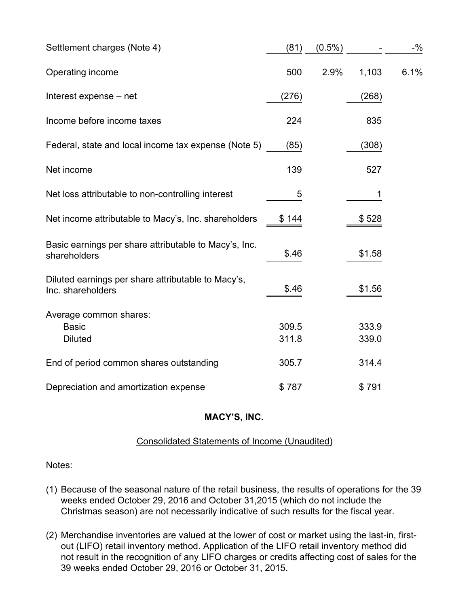| Settlement charges (Note 4)                                             | (81)           | $(0.5\%)$ |                | $-$ % |
|-------------------------------------------------------------------------|----------------|-----------|----------------|-------|
| Operating income                                                        | 500            | 2.9%      | 1,103          | 6.1%  |
| Interest expense – net                                                  | (276)          |           | (268)          |       |
| Income before income taxes                                              | 224            |           | 835            |       |
| Federal, state and local income tax expense (Note 5)                    | (85)           |           | (308)          |       |
| Net income                                                              | 139            |           | 527            |       |
| Net loss attributable to non-controlling interest                       | 5              |           | 1              |       |
| Net income attributable to Macy's, Inc. shareholders                    | \$144          |           | \$528          |       |
| Basic earnings per share attributable to Macy's, Inc.<br>shareholders   | \$.46          |           | \$1.58         |       |
| Diluted earnings per share attributable to Macy's,<br>Inc. shareholders | \$.46          |           | \$1.56         |       |
| Average common shares:<br><b>Basic</b><br><b>Diluted</b>                | 309.5<br>311.8 |           | 333.9<br>339.0 |       |
| End of period common shares outstanding                                 | 305.7          |           | 314.4          |       |
| Depreciation and amortization expense                                   | \$787          |           | \$791          |       |

#### Consolidated Statements of Income (Unaudited)

Notes:

- (1) Because of the seasonal nature of the retail business, the results of operations for the 39 weeks ended October 29, 2016 and October 31,2015 (which do not include the Christmas season) are not necessarily indicative of such results for the fiscal year.
- (2) Merchandise inventories are valued at the lower of cost or market using the last-in, firstout (LIFO) retail inventory method. Application of the LIFO retail inventory method did not result in the recognition of any LIFO charges or credits affecting cost of sales for the 39 weeks ended October 29, 2016 or October 31, 2015.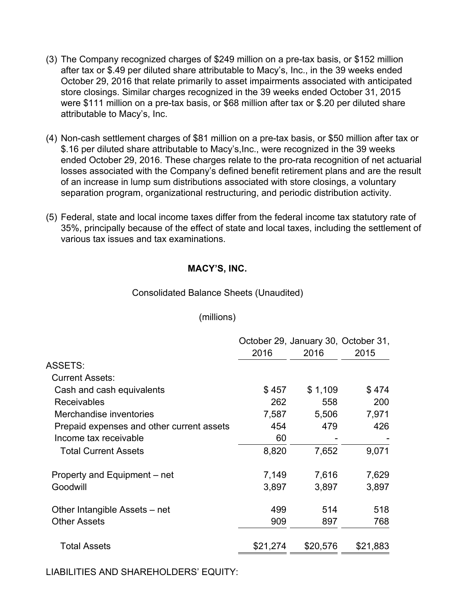- (3) The Company recognized charges of \$249 million on a pre-tax basis, or \$152 million after tax or \$.49 per diluted share attributable to Macy's, Inc., in the 39 weeks ended October 29, 2016 that relate primarily to asset impairments associated with anticipated store closings. Similar charges recognized in the 39 weeks ended October 31, 2015 were \$111 million on a pre-tax basis, or \$68 million after tax or \$.20 per diluted share attributable to Macy's, Inc.
- (4) Non-cash settlement charges of \$81 million on a pre-tax basis, or \$50 million after tax or \$.16 per diluted share attributable to Macy's,Inc., were recognized in the 39 weeks ended October 29, 2016. These charges relate to the pro-rata recognition of net actuarial losses associated with the Company's defined benefit retirement plans and are the result of an increase in lump sum distributions associated with store closings, a voluntary separation program, organizational restructuring, and periodic distribution activity.
- (5) Federal, state and local income taxes differ from the federal income tax statutory rate of 35%, principally because of the effect of state and local taxes, including the settlement of various tax issues and tax examinations.

#### Consolidated Balance Sheets (Unaudited)

#### (millions)

|                                           | October 29, January 30, October 31,<br>2016 | 2016     | 2015     |
|-------------------------------------------|---------------------------------------------|----------|----------|
| ASSETS:                                   |                                             |          |          |
| <b>Current Assets:</b>                    |                                             |          |          |
| Cash and cash equivalents                 | \$457                                       | \$1,109  | \$474    |
| <b>Receivables</b>                        | 262                                         | 558      | 200      |
| Merchandise inventories                   | 7,587                                       | 5,506    | 7,971    |
| Prepaid expenses and other current assets | 454                                         | 479      | 426      |
| Income tax receivable                     | 60                                          |          |          |
| <b>Total Current Assets</b>               | 8,820                                       | 7,652    | 9,071    |
| Property and Equipment – net              | 7,149                                       | 7,616    | 7,629    |
| Goodwill                                  | 3,897                                       | 3,897    | 3,897    |
| Other Intangible Assets – net             | 499                                         | 514      | 518      |
| <b>Other Assets</b>                       | 909                                         | 897      | 768      |
| <b>Total Assets</b>                       | \$21,274                                    | \$20,576 | \$21,883 |

LIABILITIES AND SHAREHOLDERS' EQUITY: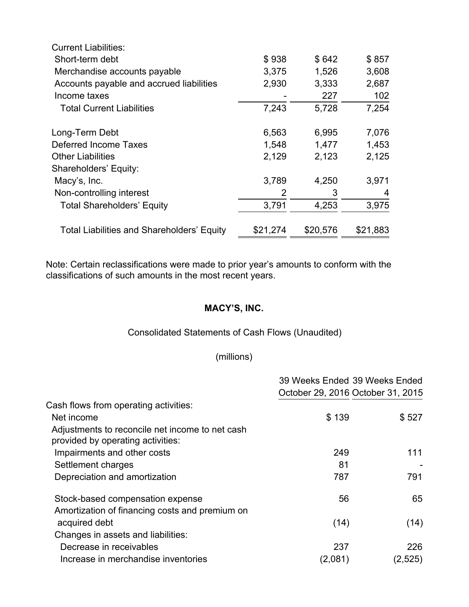| <b>Current Liabilities:</b>                       |          |          |                  |
|---------------------------------------------------|----------|----------|------------------|
| Short-term debt                                   | \$938    | \$642    | \$857            |
| Merchandise accounts payable                      | 3,375    | 1,526    | 3,608            |
| Accounts payable and accrued liabilities          | 2,930    | 3,333    | 2,687            |
| Income taxes                                      |          | 227      | 102 <sub>2</sub> |
| <b>Total Current Liabilities</b>                  | 7,243    | 5,728    | 7,254            |
| Long-Term Debt                                    | 6,563    | 6,995    | 7,076            |
| Deferred Income Taxes                             | 1,548    | 1,477    | 1,453            |
| <b>Other Liabilities</b>                          | 2,129    | 2,123    | 2,125            |
| Shareholders' Equity:                             |          |          |                  |
| Macy's, Inc.                                      | 3,789    | 4,250    | 3,971            |
| Non-controlling interest                          | 2        | 3        | 4                |
| <b>Total Shareholders' Equity</b>                 | 3,791    | 4,253    | 3,975            |
| <b>Total Liabilities and Shareholders' Equity</b> | \$21,274 | \$20,576 | \$21,883         |

Note: Certain reclassifications were made to prior year's amounts to conform with the classifications of such amounts in the most recent years.

# **MACY'S, INC.**

# Consolidated Statements of Cash Flows (Unaudited)

# (millions)

|                                                                                      | 39 Weeks Ended 39 Weeks Ended     |         |  |
|--------------------------------------------------------------------------------------|-----------------------------------|---------|--|
|                                                                                      | October 29, 2016 October 31, 2015 |         |  |
| Cash flows from operating activities:                                                |                                   |         |  |
| Net income                                                                           | \$139                             | \$527   |  |
| Adjustments to reconcile net income to net cash<br>provided by operating activities: |                                   |         |  |
| Impairments and other costs                                                          | 249                               | 111     |  |
| Settlement charges                                                                   | 81                                |         |  |
| Depreciation and amortization                                                        | 787                               | 791     |  |
| Stock-based compensation expense                                                     | 56                                | 65      |  |
| Amortization of financing costs and premium on                                       |                                   |         |  |
| acquired debt                                                                        | (14)                              | (14)    |  |
| Changes in assets and liabilities:                                                   |                                   |         |  |
| Decrease in receivables                                                              | 237                               | 226     |  |
| Increase in merchandise inventories                                                  | (2,081)                           | (2,525) |  |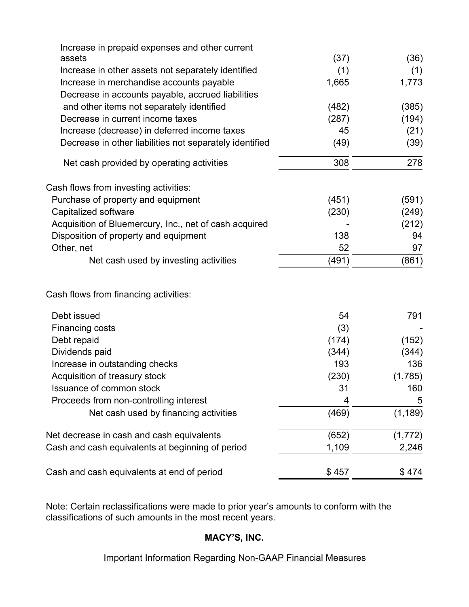| Increase in prepaid expenses and other current          |       |          |
|---------------------------------------------------------|-------|----------|
| assets                                                  | (37)  | (36)     |
| Increase in other assets not separately identified      | (1)   | (1)      |
| Increase in merchandise accounts payable                | 1,665 | 1,773    |
| Decrease in accounts payable, accrued liabilities       |       |          |
| and other items not separately identified               | (482) | (385)    |
| Decrease in current income taxes                        | (287) | (194)    |
| Increase (decrease) in deferred income taxes            | 45    | (21)     |
| Decrease in other liabilities not separately identified | (49)  | (39)     |
| Net cash provided by operating activities               | 308   | 278      |
| Cash flows from investing activities:                   |       |          |
| Purchase of property and equipment                      | (451) | (591)    |
| Capitalized software                                    | (230) | (249)    |
| Acquisition of Bluemercury, Inc., net of cash acquired  |       | (212)    |
| Disposition of property and equipment                   | 138   | 94       |
| Other, net                                              | 52    | 97       |
| Net cash used by investing activities                   | (491) | (861)    |
| Cash flows from financing activities:                   |       |          |
| Debt issued                                             | 54    | 791      |
| Financing costs                                         | (3)   |          |
| Debt repaid                                             | (174) | (152)    |
| Dividends paid                                          | (344) | (344)    |
| Increase in outstanding checks                          | 193   | 136      |
| Acquisition of treasury stock                           | (230) | (1,785)  |
| Issuance of common stock                                | 31    | 160      |
| Proceeds from non-controlling interest                  | 4     | 5        |
| Net cash used by financing activities                   | (469) | (1, 189) |
| Net decrease in cash and cash equivalents               | (652) | (1, 772) |
| Cash and cash equivalents at beginning of period        | 1,109 | 2,246    |
| Cash and cash equivalents at end of period              | \$457 | \$474    |

Note: Certain reclassifications were made to prior year's amounts to conform with the classifications of such amounts in the most recent years.

# **MACY'S, INC.**

Important Information Regarding Non-GAAP Financial Measures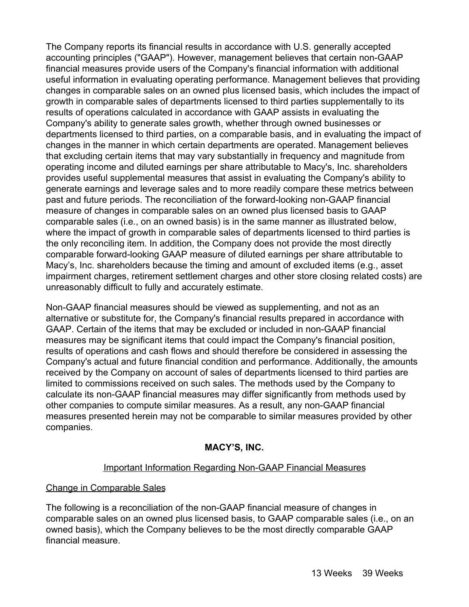The Company reports its financial results in accordance with U.S. generally accepted accounting principles ("GAAP"). However, management believes that certain non-GAAP financial measures provide users of the Company's financial information with additional useful information in evaluating operating performance. Management believes that providing changes in comparable sales on an owned plus licensed basis, which includes the impact of growth in comparable sales of departments licensed to third parties supplementally to its results of operations calculated in accordance with GAAP assists in evaluating the Company's ability to generate sales growth, whether through owned businesses or departments licensed to third parties, on a comparable basis, and in evaluating the impact of changes in the manner in which certain departments are operated. Management believes that excluding certain items that may vary substantially in frequency and magnitude from operating income and diluted earnings per share attributable to Macy's, Inc. shareholders provides useful supplemental measures that assist in evaluating the Company's ability to generate earnings and leverage sales and to more readily compare these metrics between past and future periods. The reconciliation of the forward-looking non-GAAP financial measure of changes in comparable sales on an owned plus licensed basis to GAAP comparable sales (i.e., on an owned basis) is in the same manner as illustrated below, where the impact of growth in comparable sales of departments licensed to third parties is the only reconciling item. In addition, the Company does not provide the most directly comparable forward-looking GAAP measure of diluted earnings per share attributable to Macy's, Inc. shareholders because the timing and amount of excluded items (e.g., asset impairment charges, retirement settlement charges and other store closing related costs) are unreasonably difficult to fully and accurately estimate.

Non-GAAP financial measures should be viewed as supplementing, and not as an alternative or substitute for, the Company's financial results prepared in accordance with GAAP. Certain of the items that may be excluded or included in non-GAAP financial measures may be significant items that could impact the Company's financial position, results of operations and cash flows and should therefore be considered in assessing the Company's actual and future financial condition and performance. Additionally, the amounts received by the Company on account of sales of departments licensed to third parties are limited to commissions received on such sales. The methods used by the Company to calculate its non-GAAP financial measures may differ significantly from methods used by other companies to compute similar measures. As a result, any non-GAAP financial measures presented herein may not be comparable to similar measures provided by other companies.

# **MACY'S, INC.**

# Important Information Regarding Non-GAAP Financial Measures

#### Change in Comparable Sales

The following is a reconciliation of the non-GAAP financial measure of changes in comparable sales on an owned plus licensed basis, to GAAP comparable sales (i.e., on an owned basis), which the Company believes to be the most directly comparable GAAP financial measure.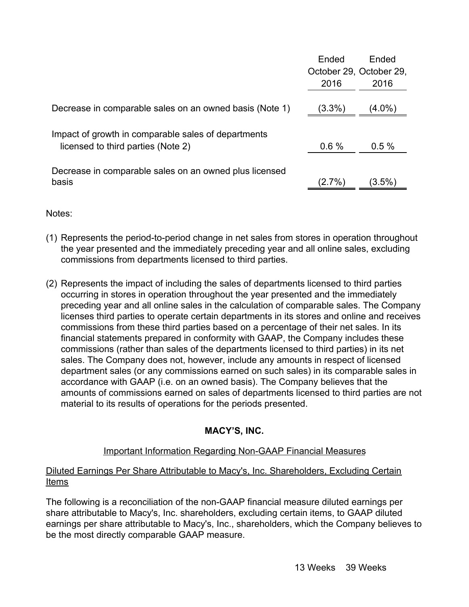|                                                         | <b>Ended</b> | Ended                   |
|---------------------------------------------------------|--------------|-------------------------|
|                                                         |              | October 29, October 29, |
|                                                         | 2016         | 2016                    |
|                                                         |              |                         |
| Decrease in comparable sales on an owned basis (Note 1) | $(3.3\%)$    | (4.0%)                  |
| Impact of growth in comparable sales of departments     |              |                         |
| licensed to third parties (Note 2)                      | 0.6%         | 0.5%                    |
| Decrease in comparable sales on an owned plus licensed  |              |                         |
| basis                                                   | $(2.7\%)$    | $(3.5\%)$               |

Notes:

- (1) Represents the period-to-period change in net sales from stores in operation throughout the year presented and the immediately preceding year and all online sales, excluding commissions from departments licensed to third parties.
- (2) Represents the impact of including the sales of departments licensed to third parties occurring in stores in operation throughout the year presented and the immediately preceding year and all online sales in the calculation of comparable sales. The Company licenses third parties to operate certain departments in its stores and online and receives commissions from these third parties based on a percentage of their net sales. In its financial statements prepared in conformity with GAAP, the Company includes these commissions (rather than sales of the departments licensed to third parties) in its net sales. The Company does not, however, include any amounts in respect of licensed department sales (or any commissions earned on such sales) in its comparable sales in accordance with GAAP (i.e. on an owned basis). The Company believes that the amounts of commissions earned on sales of departments licensed to third parties are not material to its results of operations for the periods presented.

# **MACY'S, INC.**

# Important Information Regarding Non-GAAP Financial Measures

# Diluted Earnings Per Share Attributable to Macy's, Inc. Shareholders, Excluding Certain Items

The following is a reconciliation of the non-GAAP financial measure diluted earnings per share attributable to Macy's, Inc. shareholders, excluding certain items, to GAAP diluted earnings per share attributable to Macy's, Inc., shareholders, which the Company believes to be the most directly comparable GAAP measure.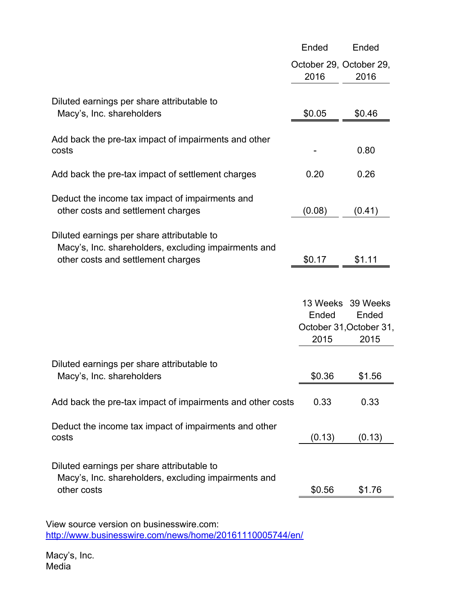|                                                                                                                                          | Ended         | Ended                                                         |
|------------------------------------------------------------------------------------------------------------------------------------------|---------------|---------------------------------------------------------------|
|                                                                                                                                          | 2016          | October 29, October 29,<br>2016                               |
| Diluted earnings per share attributable to<br>Macy's, Inc. shareholders                                                                  | \$0.05        | \$0.46                                                        |
| Add back the pre-tax impact of impairments and other<br>costs                                                                            |               | 0.80                                                          |
| Add back the pre-tax impact of settlement charges                                                                                        | 0.20          | 0.26                                                          |
| Deduct the income tax impact of impairments and<br>other costs and settlement charges                                                    | (0.08)        | (0.41)                                                        |
| Diluted earnings per share attributable to<br>Macy's, Inc. shareholders, excluding impairments and<br>other costs and settlement charges | \$0.17        | \$1.11                                                        |
|                                                                                                                                          | Ended<br>2015 | 13 Weeks 39 Weeks<br>Ended<br>October 31, October 31,<br>2015 |
| Diluted earnings per share attributable to<br>Macy's, Inc. shareholders                                                                  | \$0.36        | \$1.56                                                        |
| Add back the pre-tax impact of impairments and other costs                                                                               | 0.33          | 0.33                                                          |
| Deduct the income tax impact of impairments and other<br>costs                                                                           | (0.13)        | (0.13)                                                        |
| Diluted earnings per share attributable to<br>Macy's, Inc. shareholders, excluding impairments and<br>other costs                        | \$0.56        | \$1.76                                                        |
|                                                                                                                                          |               |                                                               |

View source version on businesswire.com: <http://www.businesswire.com/news/home/20161110005744/en/>

Macy's, Inc. Media